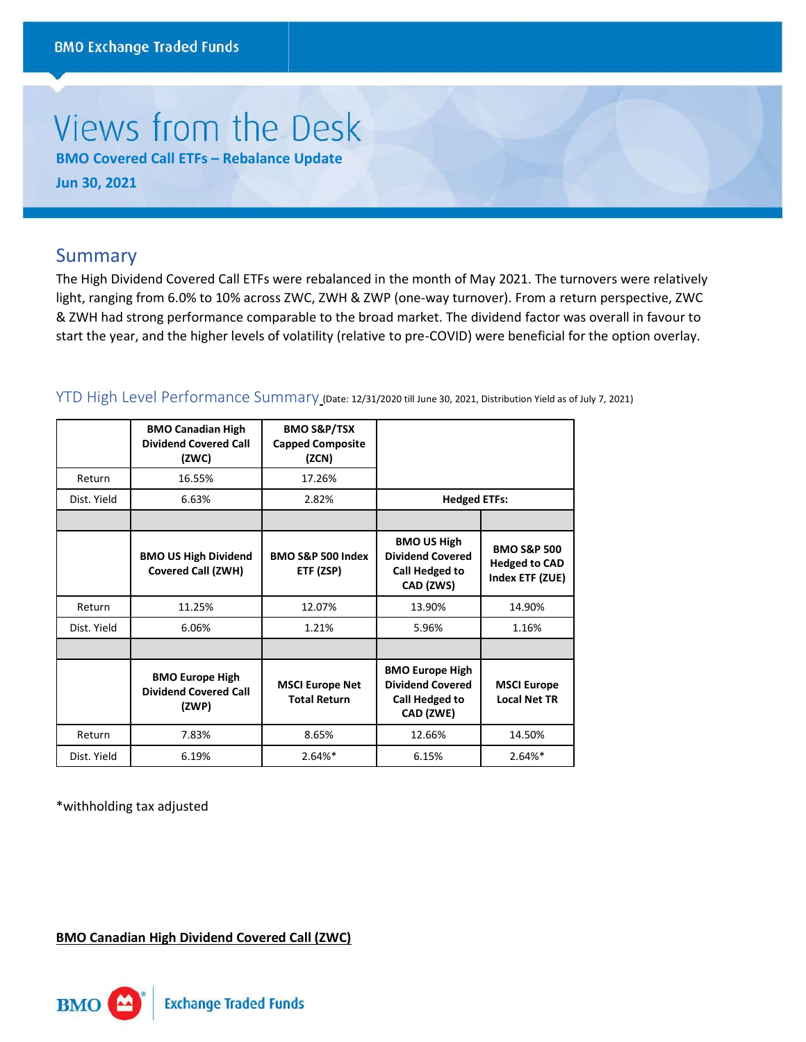# Views from the Desk

**BMO Covered Call ETFs – Rebalance Update Jun 30, 2021** 

## Summary

The High Dividend Covered Call ETFs were rebalanced in the month of May 2021. The turnovers were relatively light, ranging from 6.0% to 10% across ZWC, ZWH & ZWP (one-way turnover). From a return perspective, ZWC & ZWH had strong performance comparable to the broad market. The dividend factor was overall in favour to start the year, and the higher levels of volatility (relative to pre-COVID) were beneficial for the option overlay.

|             | <b>BMO Canadian High</b><br><b>Dividend Covered Call</b><br>(ZWC) | <b>BMO S&amp;P/TSX</b><br><b>Capped Composite</b><br>(ZCN) |                                                                                  |                                                                   |
|-------------|-------------------------------------------------------------------|------------------------------------------------------------|----------------------------------------------------------------------------------|-------------------------------------------------------------------|
| Return      | 16.55%                                                            | 17.26%                                                     |                                                                                  |                                                                   |
| Dist. Yield | 6.63%                                                             | 2.82%                                                      | <b>Hedged ETFs:</b>                                                              |                                                                   |
|             |                                                                   |                                                            |                                                                                  |                                                                   |
|             | <b>BMO US High Dividend</b><br><b>Covered Call (ZWH)</b>          | BMO S&P 500 Index<br>ETF (ZSP)                             | <b>BMO US High</b><br><b>Dividend Covered</b><br>Call Hedged to<br>CAD (ZWS)     | <b>BMO S&amp;P 500</b><br><b>Hedged to CAD</b><br>Index ETF (ZUE) |
| Return      | 11.25%                                                            | 12.07%                                                     | 13.90%                                                                           | 14.90%                                                            |
| Dist. Yield | 6.06%                                                             | 1.21%                                                      | 5.96%                                                                            | 1.16%                                                             |
|             |                                                                   |                                                            |                                                                                  |                                                                   |
|             | <b>BMO Europe High</b><br><b>Dividend Covered Call</b><br>(ZWP)   | <b>MSCI Europe Net</b><br><b>Total Return</b>              | <b>BMO Europe High</b><br><b>Dividend Covered</b><br>Call Hedged to<br>CAD (ZWE) | <b>MSCI Europe</b><br><b>Local Net TR</b>                         |
| Return      | 7.83%                                                             | 8.65%                                                      | 12.66%                                                                           | 14.50%                                                            |
| Dist. Yield | 6.19%                                                             | $2.64%*$                                                   | 6.15%                                                                            | $2.64%*$                                                          |

YTD High Level Performance Summary (Date: 12/31/2020 till June 30, 2021, Distribution Yield as of July 7, 2021)

\*withholding tax adjusted

**BMO Canadian High Dividend Covered Call (ZWC)**

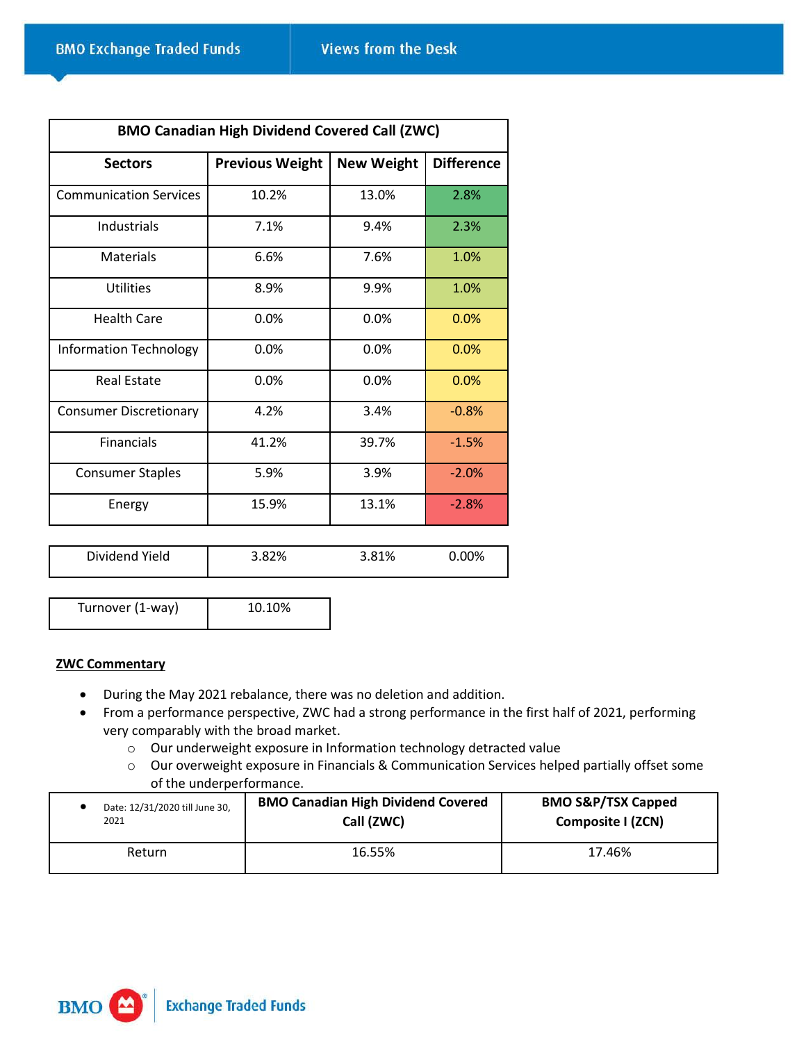| <b>BMO Canadian High Dividend Covered Call (ZWC)</b> |                        |                   |                   |
|------------------------------------------------------|------------------------|-------------------|-------------------|
| <b>Sectors</b>                                       | <b>Previous Weight</b> | <b>New Weight</b> | <b>Difference</b> |
| <b>Communication Services</b>                        | 10.2%                  | 13.0%             | 2.8%              |
| Industrials                                          | 7.1%                   | 9.4%              | 2.3%              |
| <b>Materials</b>                                     | 6.6%                   | 7.6%              | 1.0%              |
| <b>Utilities</b>                                     | 8.9%                   | 9.9%              | 1.0%              |
| <b>Health Care</b>                                   | 0.0%                   | 0.0%              | 0.0%              |
| Information Technology                               | 0.0%                   | 0.0%              | 0.0%              |
| <b>Real Estate</b>                                   | 0.0%                   | 0.0%              | 0.0%              |
| <b>Consumer Discretionary</b>                        | 4.2%                   | 3.4%              | $-0.8%$           |
| <b>Financials</b>                                    | 41.2%                  | 39.7%             | $-1.5%$           |
| <b>Consumer Staples</b>                              | 5.9%                   | 3.9%              | $-2.0%$           |
| Energy                                               | 15.9%                  | 13.1%             | $-2.8%$           |
|                                                      |                        |                   |                   |

| Dividend Yield | 3.82% | 3.81% | $0.00\%$ |
|----------------|-------|-------|----------|
|                |       |       |          |

Turnover (1-way) 10.10%

#### **ZWC Commentary**

- During the May 2021 rebalance, there was no deletion and addition.
- From a performance perspective, ZWC had a strong performance in the first half of 2021, performing very comparably with the broad market.
	- o Our underweight exposure in Information technology detracted value
	- o Our overweight exposure in Financials & Communication Services helped partially offset some of the underperformance.

| Date: 12/31/2020 till June 30, | <b>BMO Canadian High Dividend Covered</b> | <b>BMO S&amp;P/TSX Capped</b> |
|--------------------------------|-------------------------------------------|-------------------------------|
| 2021                           | Call (ZWC)                                | Composite I (ZCN)             |
| <b>Return</b>                  | 16.55%                                    | 17.46%                        |

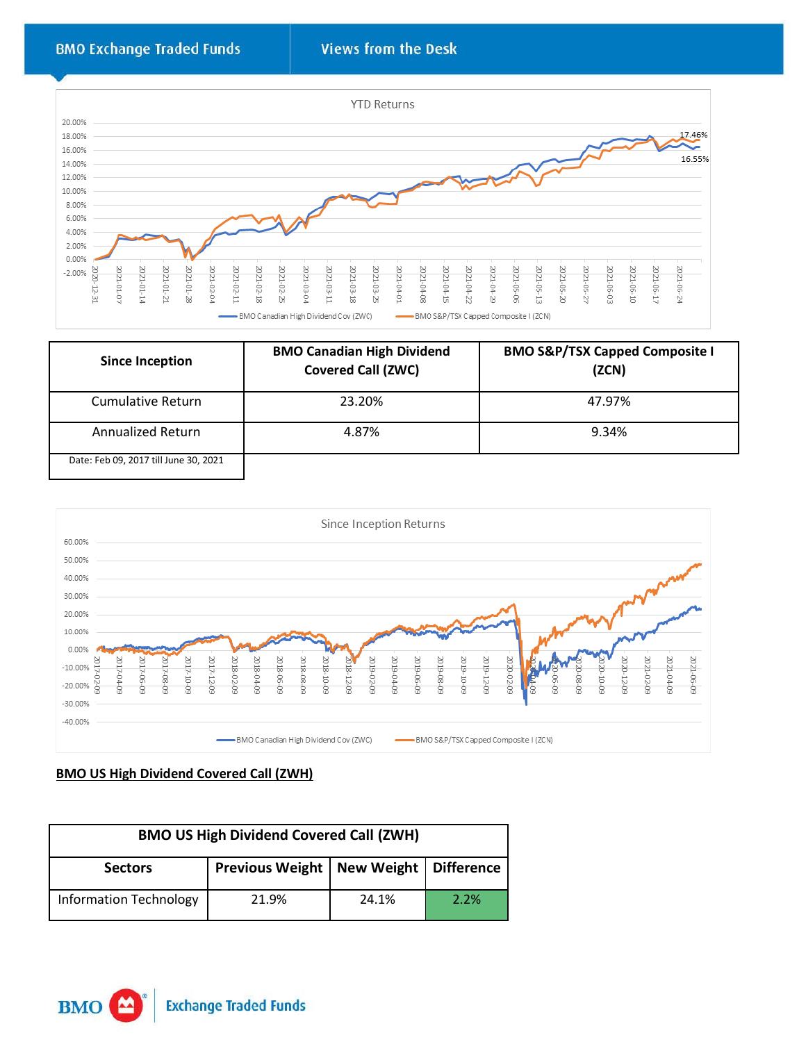

| <b>Since Inception</b>                | <b>BMO Canadian High Dividend</b><br><b>Covered Call (ZWC)</b> | <b>BMO S&amp;P/TSX Capped Composite I</b><br>(ZCN) |
|---------------------------------------|----------------------------------------------------------------|----------------------------------------------------|
| Cumulative Return                     | 23.20%                                                         | 47.97%                                             |
| Annualized Return                     | 4.87%                                                          | 9.34%                                              |
| Date: Feb 09, 2017 till June 30, 2021 |                                                                |                                                    |



#### **BMO US High Dividend Covered Call (ZWH)**

| <b>BMO US High Dividend Covered Call (ZWH)</b>              |       |       |      |
|-------------------------------------------------------------|-------|-------|------|
| Previous Weight   New Weight   Difference<br><b>Sectors</b> |       |       |      |
| <b>Information Technology</b>                               | 21.9% | 24.1% | 2.2% |

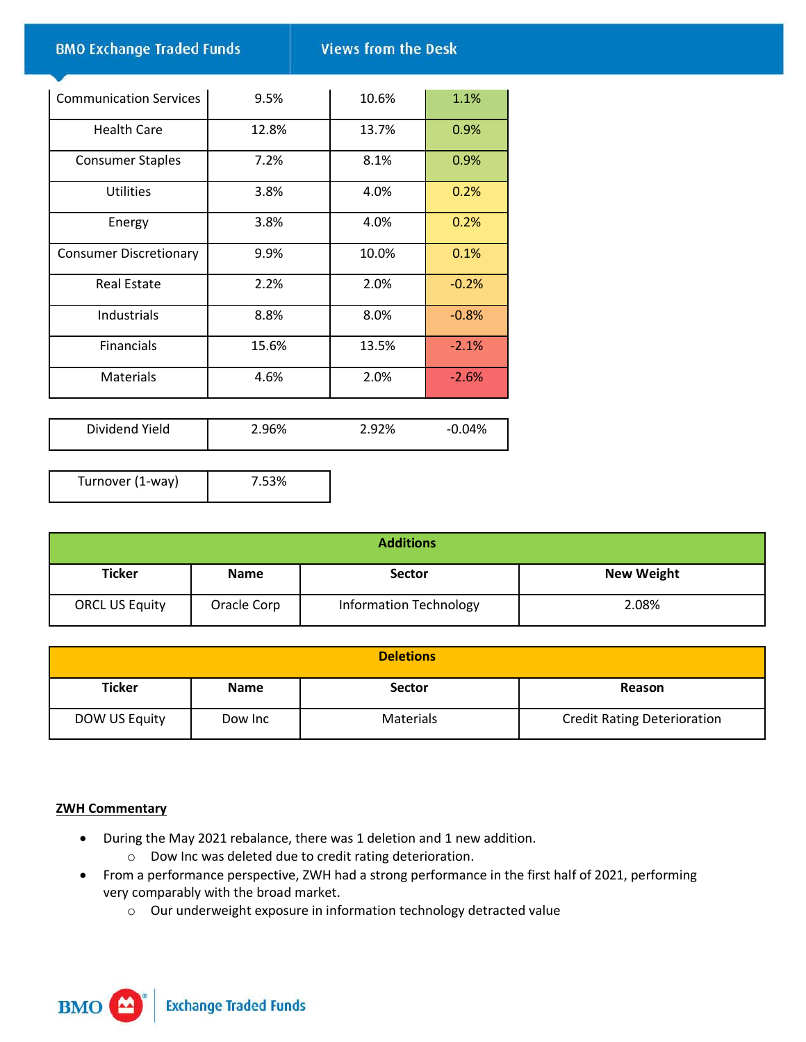**BMO Exchange Traded Funds** 

**Views from the Desk** 

| <b>Communication Services</b> | 9.5%  | 10.6% | 1.1%    |
|-------------------------------|-------|-------|---------|
| <b>Health Care</b>            | 12.8% | 13.7% | 0.9%    |
| <b>Consumer Staples</b>       | 7.2%  | 8.1%  | 0.9%    |
| <b>Utilities</b>              | 3.8%  | 4.0%  | 0.2%    |
| Energy                        | 3.8%  | 4.0%  | 0.2%    |
| <b>Consumer Discretionary</b> | 9.9%  | 10.0% | 0.1%    |
| <b>Real Estate</b>            | 2.2%  | 2.0%  | $-0.2%$ |
| Industrials                   | 8.8%  | 8.0%  | $-0.8%$ |
| <b>Financials</b>             | 15.6% | 13.5% | $-2.1%$ |
| <b>Materials</b>              | 4.6%  | 2.0%  | $-2.6%$ |
|                               |       |       |         |

| Dividend Yield | 2.96% | 2.92% | -0.04% |
|----------------|-------|-------|--------|
|                |       |       |        |

Turnover (1-way) 7.53%

| <b>Additions</b>      |             |                               |                   |  |
|-----------------------|-------------|-------------------------------|-------------------|--|
| <b>Ticker</b>         | <b>Name</b> | <b>Sector</b>                 | <b>New Weight</b> |  |
| <b>ORCL US Equity</b> | Oracle Corp | <b>Information Technology</b> | 2.08%             |  |

|               |             | <b>Deletions</b> |                                    |
|---------------|-------------|------------------|------------------------------------|
| <b>Ticker</b> | <b>Name</b> | <b>Sector</b>    | Reason                             |
| DOW US Equity | Dow Inc     | Materials        | <b>Credit Rating Deterioration</b> |

### **ZWH Commentary**

- During the May 2021 rebalance, there was 1 deletion and 1 new addition.
	- o Dow Inc was deleted due to credit rating deterioration.
- From a performance perspective, ZWH had a strong performance in the first half of 2021, performing very comparably with the broad market.
	- o Our underweight exposure in information technology detracted value

**Exchange Traded Funds BMO**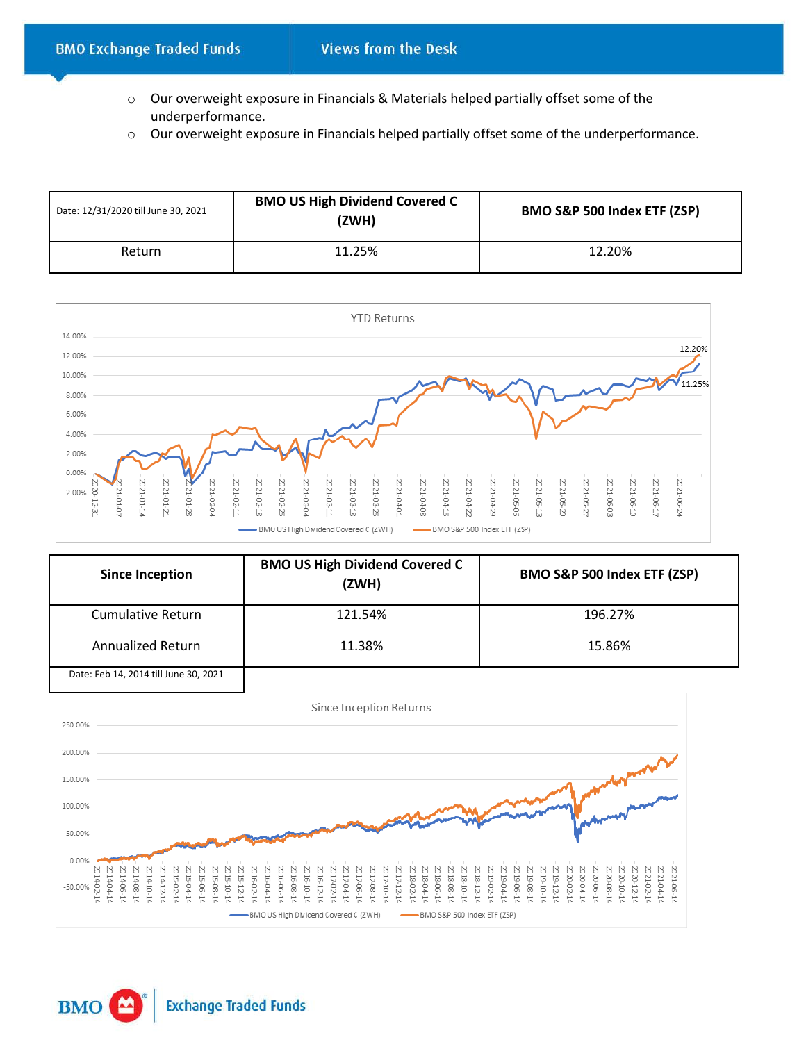- o Our overweight exposure in Financials & Materials helped partially offset some of the underperformance.
- o Our overweight exposure in Financials helped partially offset some of the underperformance.

| Date: 12/31/2020 till June 30, 2021 | <b>BMO US High Dividend Covered C</b><br>(ZWH) | BMO S&P 500 Index ETF (ZSP) |  |
|-------------------------------------|------------------------------------------------|-----------------------------|--|
| Return                              | 11.25%                                         | 12.20%                      |  |



| <b>Since Inception</b>                                                                                                                                                 | <b>BMO US High Dividend Covered C</b><br>(ZWH)                                                                                                                                                                                                 | BMO S&P 500 Index ETF (ZSP)                                                                                                                                                                            |  |  |
|------------------------------------------------------------------------------------------------------------------------------------------------------------------------|------------------------------------------------------------------------------------------------------------------------------------------------------------------------------------------------------------------------------------------------|--------------------------------------------------------------------------------------------------------------------------------------------------------------------------------------------------------|--|--|
| <b>Cumulative Return</b>                                                                                                                                               | 121.54%                                                                                                                                                                                                                                        | 196.27%                                                                                                                                                                                                |  |  |
| <b>Annualized Return</b>                                                                                                                                               | 11.38%                                                                                                                                                                                                                                         | 15.86%                                                                                                                                                                                                 |  |  |
| Date: Feb 14, 2014 till June 30, 2021                                                                                                                                  |                                                                                                                                                                                                                                                |                                                                                                                                                                                                        |  |  |
|                                                                                                                                                                        | Since Inception Returns                                                                                                                                                                                                                        |                                                                                                                                                                                                        |  |  |
| 250.00%                                                                                                                                                                |                                                                                                                                                                                                                                                |                                                                                                                                                                                                        |  |  |
| 200.00%                                                                                                                                                                |                                                                                                                                                                                                                                                |                                                                                                                                                                                                        |  |  |
| 150.00%                                                                                                                                                                |                                                                                                                                                                                                                                                |                                                                                                                                                                                                        |  |  |
| 100.00%                                                                                                                                                                |                                                                                                                                                                                                                                                |                                                                                                                                                                                                        |  |  |
| 50.00%                                                                                                                                                                 |                                                                                                                                                                                                                                                |                                                                                                                                                                                                        |  |  |
| 0.00%                                                                                                                                                                  |                                                                                                                                                                                                                                                |                                                                                                                                                                                                        |  |  |
| 2014-10-1<br>2014-12-17<br>2015-02-1<br>2014-08-1-<br>2015-04-1<br>2014-06-14<br>2015-06-<br><b>215-12-</b><br>140410<br>2015-08-<br>015-10-<br>014-02-14<br>$-50.00%$ | 2017-02-1<br>2018-04-1<br>2017-04-1<br>2018-02-<br>$-90-81$ CC<br>2016-10-1<br>2016-12-<br>2017-06-<br>2017-12-1<br>2018-10-<br>2018-12-<br>20-912-0<br>016-04-1<br>017-08-1<br>2017-10-<br>$-80 - 81$ CC<br>$-90 - 90 - 00$<br>$-80 - 9I$ $C$ | 2021-06-14<br>2021-04-14<br>2020-06-14<br>2021-02-1<br>019-04-1<br>D-90-610<br>$0 - 04 - 14$<br>019-02-1<br>$20 - 08 - 1$<br>2019-08-17<br>019-12-1<br>$0 - 0.2 - 0.2$<br>019-10-1<br>020-10-14<br>es. |  |  |
|                                                                                                                                                                        | BMO US High Dividend Covered C (ZWH)<br>BMO S&P 500 Index ETF (ZSP)                                                                                                                                                                            |                                                                                                                                                                                                        |  |  |

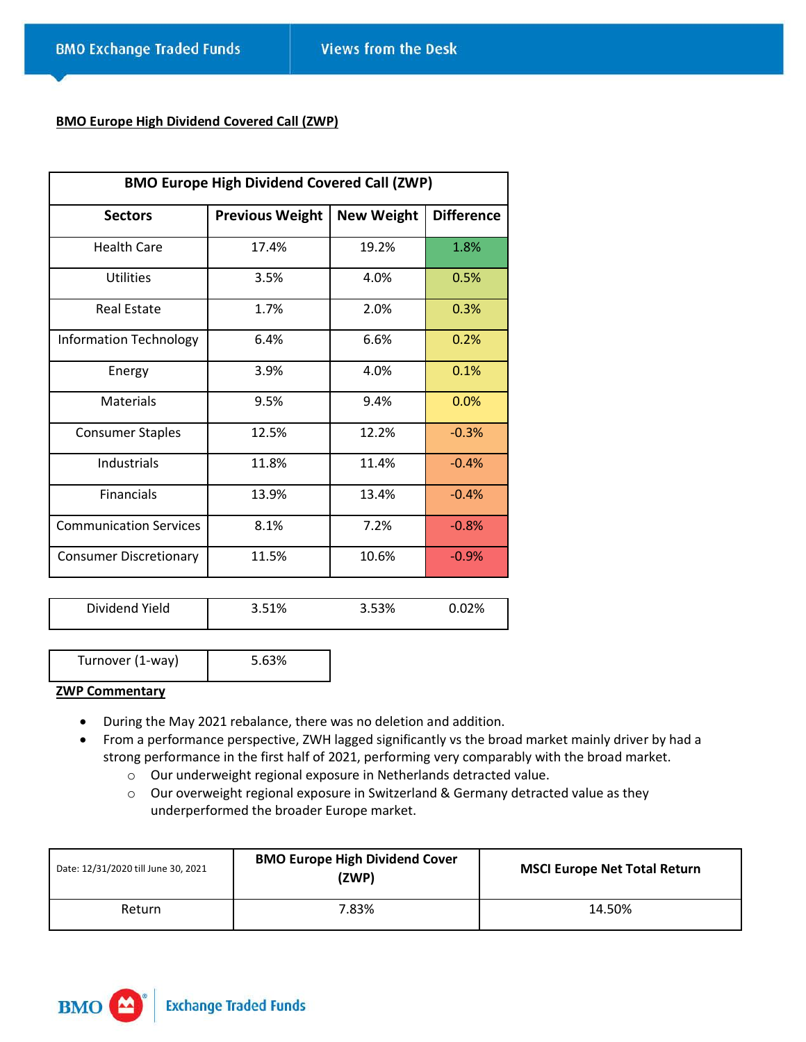#### **BMO Europe High Dividend Covered Call (ZWP)**

| <b>BMO Europe High Dividend Covered Call (ZWP)</b> |                        |                   |                   |
|----------------------------------------------------|------------------------|-------------------|-------------------|
| <b>Sectors</b>                                     | <b>Previous Weight</b> | <b>New Weight</b> | <b>Difference</b> |
| <b>Health Care</b>                                 | 17.4%                  | 19.2%             | 1.8%              |
| Utilities                                          | 3.5%                   | 4.0%              | 0.5%              |
| <b>Real Estate</b>                                 | 1.7%                   | 2.0%              | 0.3%              |
| <b>Information Technology</b>                      | 6.4%                   | 6.6%              | 0.2%              |
| Energy                                             | 3.9%                   | 4.0%              | 0.1%              |
| <b>Materials</b>                                   | 9.5%                   | 9.4%              | 0.0%              |
| <b>Consumer Staples</b>                            | 12.5%                  | 12.2%             | $-0.3%$           |
| <b>Industrials</b>                                 | 11.8%                  | 11.4%             | $-0.4%$           |
| <b>Financials</b>                                  | 13.9%                  | 13.4%             | $-0.4%$           |
| <b>Communication Services</b>                      | 8.1%                   | 7.2%              | $-0.8%$           |
| <b>Consumer Discretionary</b>                      | 11.5%                  | 10.6%             | $-0.9%$           |

| Dividend Yield | 3.51% | 3.53% | 02% |
|----------------|-------|-------|-----|
|----------------|-------|-------|-----|

| Turnover (1-way) | 5.63% |  |
|------------------|-------|--|
|                  |       |  |

#### **ZWP Commentary**

- During the May 2021 rebalance, there was no deletion and addition.
- From a performance perspective, ZWH lagged significantly vs the broad market mainly driver by had a strong performance in the first half of 2021, performing very comparably with the broad market.
	- o Our underweight regional exposure in Netherlands detracted value.
	- o Our overweight regional exposure in Switzerland & Germany detracted value as they underperformed the broader Europe market.

| Date: 12/31/2020 till June 30, 2021 | <b>BMO Europe High Dividend Cover</b><br>(ZWP) | <b>MSCI Europe Net Total Return</b> |
|-------------------------------------|------------------------------------------------|-------------------------------------|
| Return                              | 7.83%                                          | 14.50%                              |

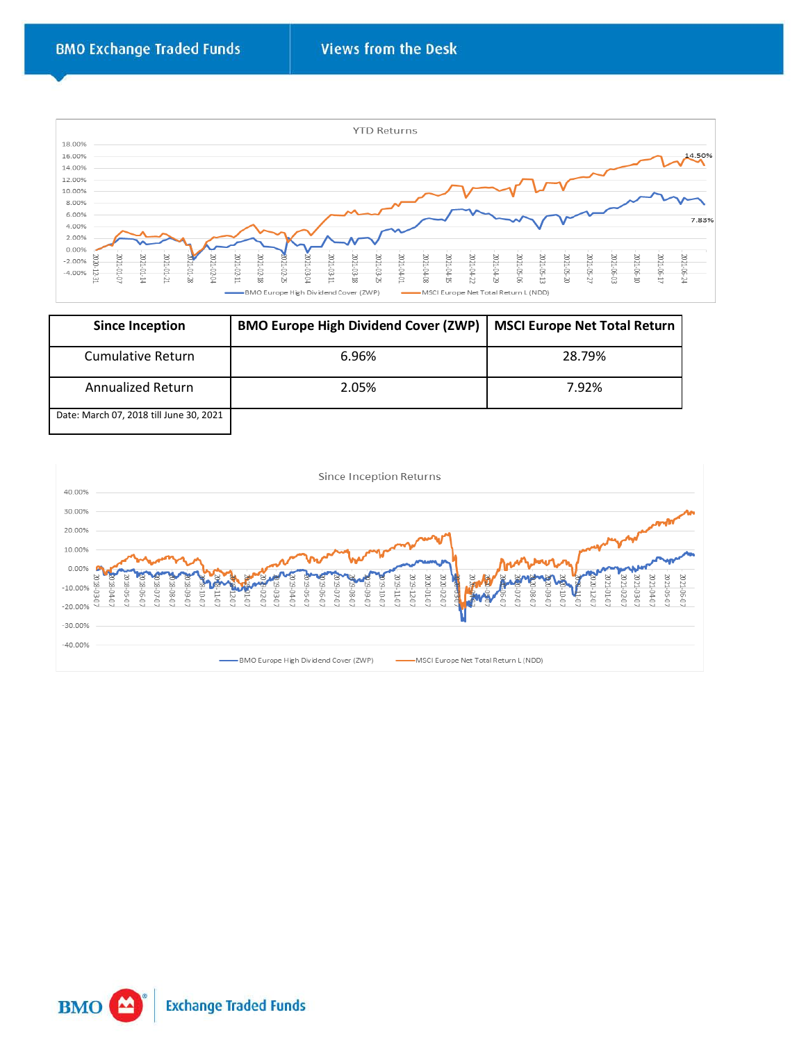

| <b>Since Inception</b>                  | <b>BMO Europe High Dividend Cover (ZWP)</b> | <b>MSCI Europe Net Total Return</b> |
|-----------------------------------------|---------------------------------------------|-------------------------------------|
| Cumulative Return                       | 6.96%                                       | 28.79%                              |
| Annualized Return                       | 2.05%                                       | 7.92%                               |
| Date: March 07, 2018 till June 30, 2021 |                                             |                                     |



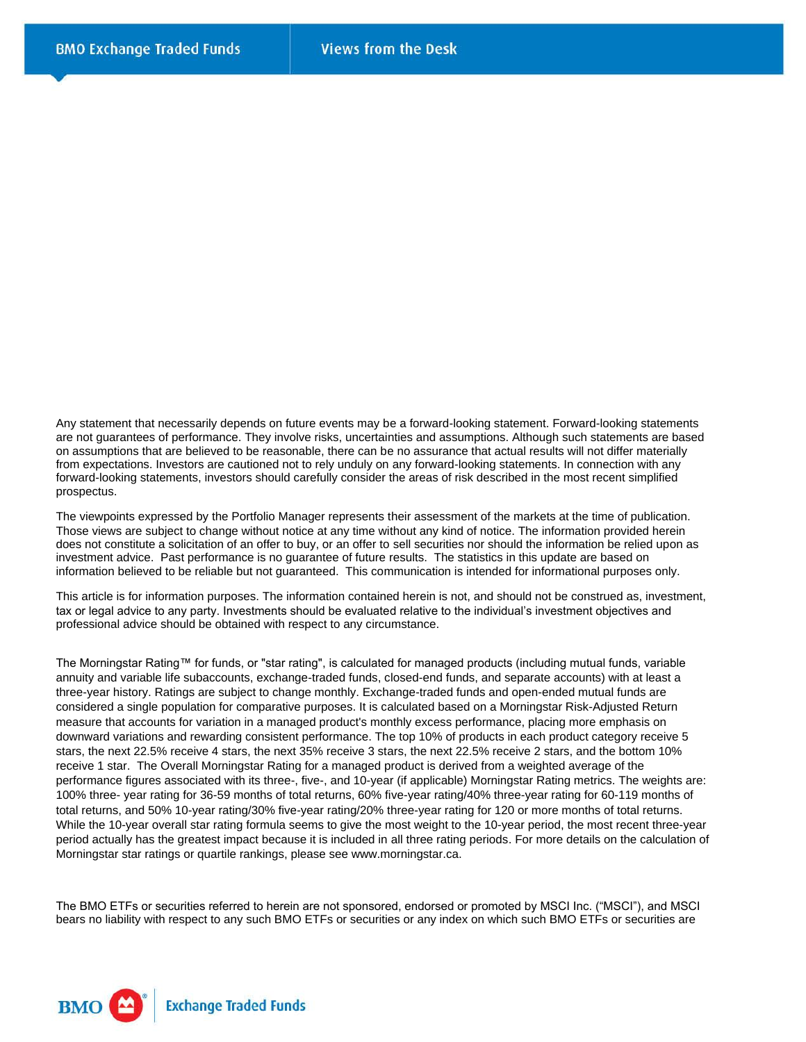Any statement that necessarily depends on future events may be a forward-looking statement. Forward-looking statements are not guarantees of performance. They involve risks, uncertainties and assumptions. Although such statements are based on assumptions that are believed to be reasonable, there can be no assurance that actual results will not differ materially from expectations. Investors are cautioned not to rely unduly on any forward-looking statements. In connection with any forward-looking statements, investors should carefully consider the areas of risk described in the most recent simplified prospectus.

The viewpoints expressed by the Portfolio Manager represents their assessment of the markets at the time of publication. Those views are subject to change without notice at any time without any kind of notice. The information provided herein does not constitute a solicitation of an offer to buy, or an offer to sell securities nor should the information be relied upon as investment advice. Past performance is no guarantee of future results. The statistics in this update are based on information believed to be reliable but not guaranteed. This communication is intended for informational purposes only.

This article is for information purposes. The information contained herein is not, and should not be construed as, investment, tax or legal advice to any party. Investments should be evaluated relative to the individual's investment objectives and professional advice should be obtained with respect to any circumstance.

The Morningstar Rating™ for funds, or "star rating", is calculated for managed products (including mutual funds, variable annuity and variable life subaccounts, exchange-traded funds, closed-end funds, and separate accounts) with at least a three-year history. Ratings are subject to change monthly. Exchange-traded funds and open-ended mutual funds are considered a single population for comparative purposes. It is calculated based on a Morningstar Risk-Adjusted Return measure that accounts for variation in a managed product's monthly excess performance, placing more emphasis on downward variations and rewarding consistent performance. The top 10% of products in each product category receive 5 stars, the next 22.5% receive 4 stars, the next 35% receive 3 stars, the next 22.5% receive 2 stars, and the bottom 10% receive 1 star. The Overall Morningstar Rating for a managed product is derived from a weighted average of the performance figures associated with its three-, five-, and 10-year (if applicable) Morningstar Rating metrics. The weights are: 100% three- year rating for 36-59 months of total returns, 60% five-year rating/40% three-year rating for 60-119 months of total returns, and 50% 10-year rating/30% five-year rating/20% three-year rating for 120 or more months of total returns. While the 10-year overall star rating formula seems to give the most weight to the 10-year period, the most recent three-year period actually has the greatest impact because it is included in all three rating periods. For more details on the calculation of Morningstar star ratings or quartile rankings, please see www.morningstar.ca.

The BMO ETFs or securities referred to herein are not sponsored, endorsed or promoted by MSCI Inc. ("MSCI"), and MSCI bears no liability with respect to any such BMO ETFs or securities or any index on which such BMO ETFs or securities are